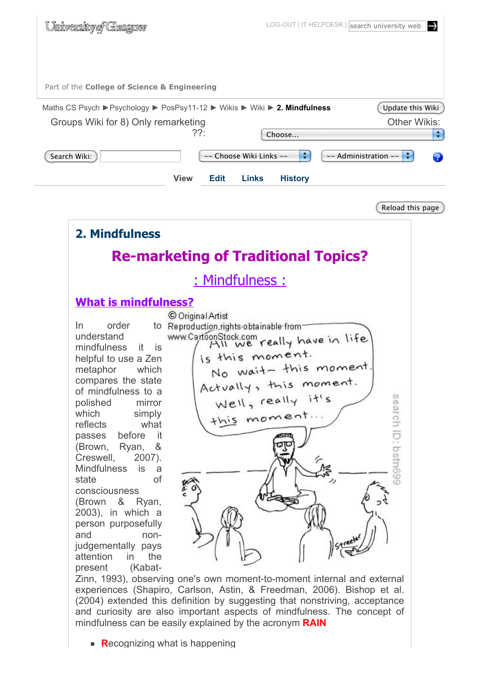

## **What is mindfulness?**

understand mindfulness it is helpful to use a Zen metaphor which compares the state of mindfulness to a polished mirror which simply reflects what passes before it (Brown, Ryan, & Creswell, 2007). Mindfulness is a state of consciousness (Brown & Ryan, 2003), in which a person purposefully and nonjudgementally pays attention in the present (Kabat-



Zinn, 1993), observing one's own moment-to-moment internal and external experiences (Shapiro, Carlson, Astin, & Freedman, 2006). Bishop et al. (2004) extended this definition by suggesting that nonstriving, acceptance and curiosity are also important aspects of mindfulness. The concept of mindfulness can be easily explained by the acronym **RAIN**

**• Recognizing what is happening**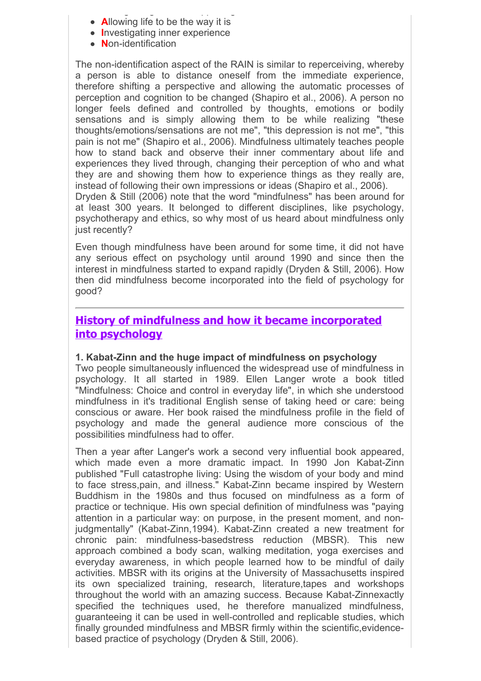- **R**ecognizing what is happening • **Allowing life to be the way it is**
- **I**nvestigating inner experience
- **N**on-identification

The non-identification aspect of the RAIN is similar to reperceiving, whereby a person is able to distance oneself from the immediate experience, therefore shifting a perspective and allowing the automatic processes of perception and cognition to be changed (Shapiro et al., 2006). A person no longer feels defined and controlled by thoughts, emotions or bodily sensations and is simply allowing them to be while realizing "these thoughts/emotions/sensations are not me", "this depression is not me", "this pain is not me" (Shapiro et al., 2006). Mindfulness ultimately teaches people how to stand back and observe their inner commentary about life and experiences they lived through, changing their perception of who and what they are and showing them how to experience things as they really are, instead of following their own impressions or ideas (Shapiro et al., 2006). Dryden & Still (2006) note that the word "mindfulness" has been around for

at least 300 years. It belonged to different disciplines, like psychology, psychotherapy and ethics, so why most of us heard about mindfulness only just recently?

Even though mindfulness have been around for some time, it did not have any serious effect on psychology until around 1990 and since then the interest in mindfulness started to expand rapidly (Dryden & Still, 2006). How then did mindfulness become incorporated into the field of psychology for good?

## **History of mindfulness and how it became incorporated into psychology**

### **1. Kabat-Zinn and the huge impact of mindfulness on psychology**

Two people simultaneously influenced the widespread use of mindfulness in psychology. It all started in 1989. Ellen Langer wrote a book titled "Mindfulness: Choice and control in everyday life", in which she understood mindfulness in it's traditional English sense of taking heed or care: being conscious or aware. Her book raised the mindfulness profile in the field of psychology and made the general audience more conscious of the possibilities mindfulness had to offer.

Then a year after Langer's work a second very influential book appeared, which made even a more dramatic impact. In 1990 Jon Kabat-Zinn published "Full catastrophe living: Using the wisdom of your body and mind to face stress,pain, and illness." Kabat-Zinn became inspired by Western Buddhism in the 1980s and thus focused on mindfulness as a form of practice or technique. His own special definition of mindfulness was "paying attention in a particular way: on purpose, in the present moment, and nonjudgmentally" (Kabat-Zinn,1994). Kabat-Zinn created a new treatment for chronic pain: mindfulness-basedstress reduction (MBSR). This new approach combined a body scan, walking meditation, yoga exercises and everyday awareness, in which people learned how to be mindful of daily activities. MBSR with its origins at the University of Massachusetts inspired its own specialized training, research, literature,tapes and workshops throughout the world with an amazing success. Because Kabat-Zinnexactly specified the techniques used, he therefore manualized mindfulness, guaranteeing it can be used in well-controlled and replicable studies, which finally grounded mindfulness and MBSR firmly within the scientific,evidencebased practice of psychology (Dryden & Still, 2006).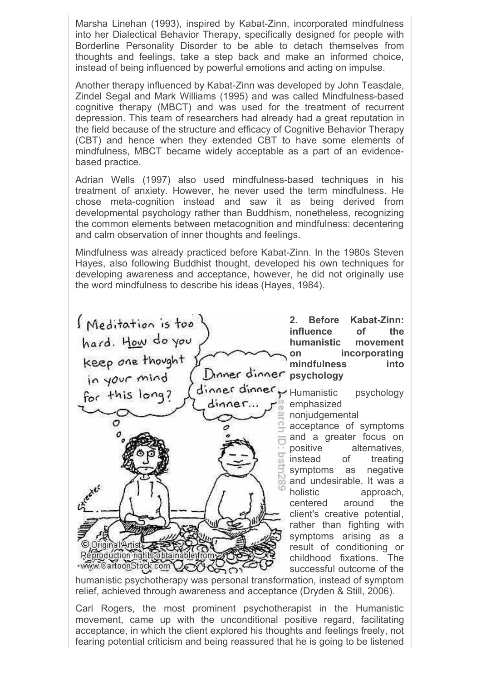Marsha Linehan (1993), inspired by Kabat-Zinn, incorporated mindfulness into her Dialectical Behavior Therapy, specifically designed for people with Borderline Personality Disorder to be able to detach themselves from thoughts and feelings, take a step back and make an informed choice, instead of being influenced by powerful emotions and acting on impulse.

Another therapy influenced by Kabat-Zinn was developed by John Teasdale, Zindel Segal and Mark Williams (1995) and was called Mindfulness-based cognitive therapy (MBCT) and was used for the treatment of recurrent depression. This team of researchers had already had a great reputation in the field because of the structure and efficacy of Cognitive Behavior Therapy (CBT) and hence when they extended CBT to have some elements of mindfulness, MBCT became widely acceptable as a part of an evidencebased practice.

Adrian Wells (1997) also used mindfulness-based techniques in his treatment of anxiety. However, he never used the term mindfulness. He chose meta-cognition instead and saw it as being derived from developmental psychology rather than Buddhism, nonetheless, recognizing the common elements between metacognition and mindfulness: decentering and calm observation of inner thoughts and feelings.

Mindfulness was already practiced before Kabat-Zinn. In the 1980s Steven Hayes, also following Buddhist thought, developed his own techniques for developing awareness and acceptance, however, he did not originally use the word mindfulness to describe his ideas (Hayes, 1984).

S Meditation is too hard. How do you<br>keep one thought<br>in your mind Dinner dinner psychology dinner dinner Humanistic psychology for this long?  $dinaa$ c... emphasized  $\mathcal{O}$ ΰñ Origina iroduction righ www.CartoonStock.com  $\bigcap$ 

**2. Before Kabat-Zinn: influence of the humanistic movement on incorporating mindfulness into**

nonjudgemental acceptance of symptoms

and a greater focus on positive alternatives, instead of treating symptoms as negative and undesirable. It was a holistic approach, centered around the client's creative potential, rather than fighting with symptoms arising as a result of conditioning or childhood fixations. The successful outcome of the

humanistic psychotherapy was personal transformation, instead of symptom relief, achieved through awareness and acceptance (Dryden & Still, 2006).

Carl Rogers, the most prominent psychotherapist in the Humanistic movement, came up with the unconditional positive regard, facilitating acceptance, in which the client explored his thoughts and feelings freely, not fearing potential criticism and being reassured that he is going to be listened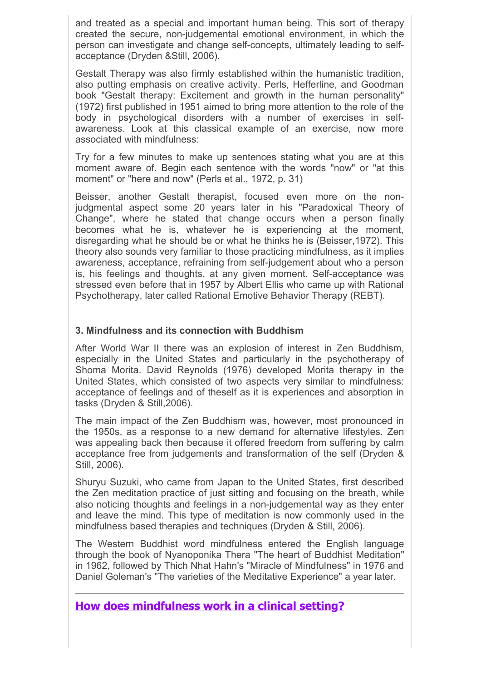and treated as a special and important human being. This sort of therapy created the secure, non-judgemental emotional environment, in which the person can investigate and change self-concepts, ultimately leading to selfacceptance (Dryden &Still, 2006).

Gestalt Therapy was also firmly established within the humanistic tradition, also putting emphasis on creative activity. Perls, Hefferline, and Goodman book "Gestalt therapy: Excitement and growth in the human personality" (1972) first published in 1951 aimed to bring more attention to the role of the body in psychological disorders with a number of exercises in selfawareness. Look at this classical example of an exercise, now more associated with mindfulness:

Try for a few minutes to make up sentences stating what you are at this moment aware of. Begin each sentence with the words "now" or "at this moment" or "here and now" (Perls et al., 1972, p. 31)

Beisser, another Gestalt therapist, focused even more on the nonjudgmental aspect some 20 years later in his "Paradoxical Theory of Change", where he stated that change occurs when a person finally becomes what he is, whatever he is experiencing at the moment, disregarding what he should be or what he thinks he is (Beisser,1972). This theory also sounds very familiar to those practicing mindfulness, as it implies awareness, acceptance, refraining from self-judgement about who a person is, his feelings and thoughts, at any given moment. Self-acceptance was stressed even before that in 1957 by Albert Ellis who came up with Rational Psychotherapy, later called Rational Emotive Behavior Therapy (REBT).

#### **3. Mindfulness and its connection with Buddhism**

After World War II there was an explosion of interest in Zen Buddhism, especially in the United States and particularly in the psychotherapy of Shoma Morita. David Reynolds (1976) developed Morita therapy in the United States, which consisted of two aspects very similar to mindfulness: acceptance of feelings and of theself as it is experiences and absorption in tasks (Dryden & Still,2006).

The main impact of the Zen Buddhism was, however, most pronounced in the 1950s, as a response to a new demand for alternative lifestyles. Zen was appealing back then because it offered freedom from suffering by calm acceptance free from judgements and transformation of the self (Dryden & Still, 2006).

Shuryu Suzuki, who came from Japan to the United States, first described the Zen meditation practice of just sitting and focusing on the breath, while also noticing thoughts and feelings in a non-judgemental way as they enter and leave the mind. This type of meditation is now commonly used in the mindfulness based therapies and techniques (Dryden & Still, 2006).

The Western Buddhist word mindfulness entered the English language through the book of Nyanoponika Thera "The heart of Buddhist Meditation" in 1962, followed by Thich Nhat Hahn's "Miracle of Mindfulness" in 1976 and Daniel Goleman's "The varieties of the Meditative Experience" a year later.

## **How does mindfulness work in a clinical setting?**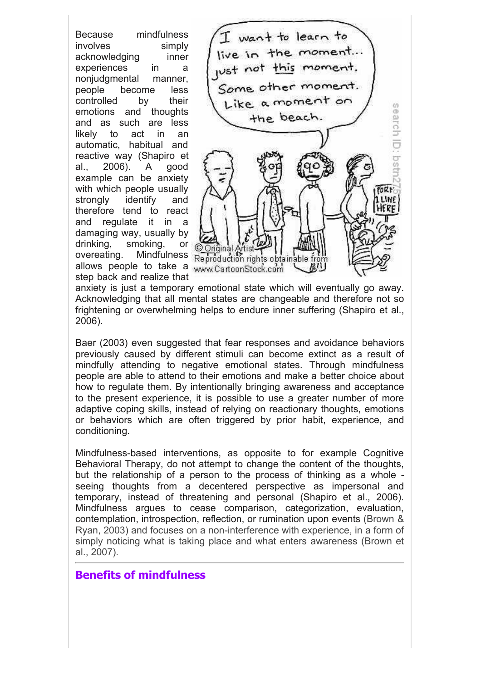Because mindfulness involves simply acknowledging inner experiences in a nonjudgmental manner, people become less controlled by their emotions and thoughts and as such are less likely to act in an automatic, habitual and reactive way (Shapiro et al., 2006). A good example can be anxiety with which people usually strongly identify and therefore tend to react and regulate it in a damaging way, usually by drinking, smoking, or overeating. Mindfulness allows people to take a www.CartoonStock.com step back and realize that



anxiety is just a temporary emotional state which will eventually go away. Acknowledging that all mental states are changeable and therefore not so frightening or overwhelming helps to endure inner suffering (Shapiro et al., 2006).

Baer (2003) even suggested that fear responses and avoidance behaviors previously caused by different stimuli can become extinct as a result of mindfully attending to negative emotional states. Through mindfulness people are able to attend to their emotions and make a better choice about how to regulate them. By intentionally bringing awareness and acceptance to the present experience, it is possible to use a greater number of more adaptive coping skills, instead of relying on reactionary thoughts, emotions or behaviors which are often triggered by prior habit, experience, and conditioning.

Mindfulness-based interventions, as opposite to for example Cognitive Behavioral Therapy, do not attempt to change the content of the thoughts, but the relationship of a person to the process of thinking as a whole seeing thoughts from a decentered perspective as impersonal and temporary, instead of threatening and personal (Shapiro et al., 2006). Mindfulness argues to cease comparison, categorization, evaluation, contemplation, introspection, reflection, or rumination upon events (Brown & Ryan, 2003) and focuses on a non-interference with experience, in a form of simply noticing what is taking place and what enters awareness (Brown et al., 2007).

## **Benefits of mindfulness**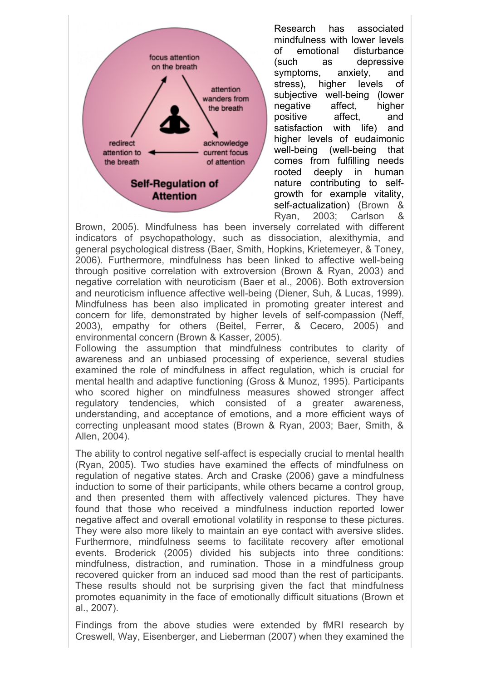

Research has associated mindfulness with lower levels of emotional disturbance (such as depressive symptoms, anxiety, and stress), higher levels of subjective well-being (lower negative affect, higher positive affect, and satisfaction with life) and higher levels of eudaimonic well-being (well-being that comes from fulfilling needs rooted deeply in human nature contributing to selfgrowth for example vitality, self-actualization) (Brown & Ryan, 2003; Carlson &

Brown, 2005). Mindfulness has been inversely correlated with different indicators of psychopathology, such as dissociation, alexithymia, and general psychological distress (Baer, Smith, Hopkins, Krietemeyer, & Toney, 2006). Furthermore, mindfulness has been linked to affective well-being through positive correlation with extroversion (Brown & Ryan, 2003) and negative correlation with neuroticism (Baer et al., 2006). Both extroversion and neuroticism influence affective well-being (Diener, Suh, & Lucas, 1999). Mindfulness has been also implicated in promoting greater interest and concern for life, demonstrated by higher levels of self-compassion (Neff, 2003), empathy for others (Beitel, Ferrer, & Cecero, 2005) and environmental concern (Brown & Kasser, 2005).

Following the assumption that mindfulness contributes to clarity of awareness and an unbiased processing of experience, several studies examined the role of mindfulness in affect regulation, which is crucial for mental health and adaptive functioning (Gross & Munoz, 1995). Participants who scored higher on mindfulness measures showed stronger affect regulatory tendencies, which consisted of a greater awareness, understanding, and acceptance of emotions, and a more efficient ways of correcting unpleasant mood states (Brown & Ryan, 2003; Baer, Smith, & Allen, 2004).

The ability to control negative self-affect is especially crucial to mental health (Ryan, 2005). Two studies have examined the effects of mindfulness on regulation of negative states. Arch and Craske (2006) gave a mindfulness induction to some of their participants, while others became a control group, and then presented them with affectively valenced pictures. They have found that those who received a mindfulness induction reported lower negative affect and overall emotional volatility in response to these pictures. They were also more likely to maintain an eye contact with aversive slides. Furthermore, mindfulness seems to facilitate recovery after emotional events. Broderick (2005) divided his subjects into three conditions: mindfulness, distraction, and rumination. Those in a mindfulness group recovered quicker from an induced sad mood than the rest of participants. These results should not be surprising given the fact that mindfulness promotes equanimity in the face of emotionally difficult situations (Brown et al., 2007).

Findings from the above studies were extended by fMRI research by Creswell, Way, Eisenberger, and Lieberman (2007) when they examined the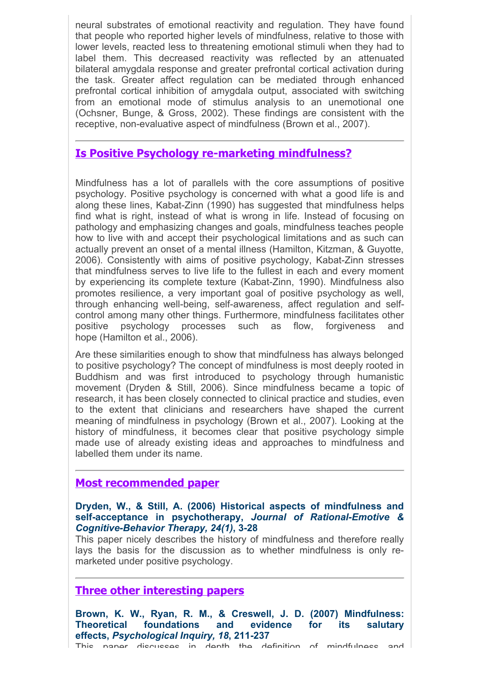neural substrates of emotional reactivity and regulation. They have found that people who reported higher levels of mindfulness, relative to those with lower levels, reacted less to threatening emotional stimuli when they had to label them. This decreased reactivity was reflected by an attenuated bilateral amygdala response and greater prefrontal cortical activation during the task. Greater affect regulation can be mediated through enhanced prefrontal cortical inhibition of amygdala output, associated with switching from an emotional mode of stimulus analysis to an unemotional one (Ochsner, Bunge, & Gross, 2002). These findings are consistent with the receptive, non-evaluative aspect of mindfulness (Brown et al., 2007).

## **Is Positive Psychology re-marketing mindfulness?**

Mindfulness has a lot of parallels with the core assumptions of positive psychology. Positive psychology is concerned with what a good life is and along these lines, Kabat-Zinn (1990) has suggested that mindfulness helps find what is right, instead of what is wrong in life. Instead of focusing on pathology and emphasizing changes and goals, mindfulness teaches people how to live with and accept their psychological limitations and as such can actually prevent an onset of a mental illness (Hamilton, Kitzman, & Guyotte, 2006). Consistently with aims of positive psychology, Kabat-Zinn stresses that mindfulness serves to live life to the fullest in each and every moment by experiencing its complete texture (Kabat-Zinn, 1990). Mindfulness also promotes resilience, a very important goal of positive psychology as well, through enhancing well-being, self-awareness, affect regulation and selfcontrol among many other things. Furthermore, mindfulness facilitates other positive psychology processes such as flow, forgiveness and hope (Hamilton et al., 2006).

Are these similarities enough to show that mindfulness has always belonged to positive psychology? The concept of mindfulness is most deeply rooted in Buddhism and was first introduced to psychology through humanistic movement (Dryden & Still, 2006). Since mindfulness became a topic of research, it has been closely connected to clinical practice and studies, even to the extent that clinicians and researchers have shaped the current meaning of mindfulness in psychology (Brown et al., 2007). Looking at the history of mindfulness, it becomes clear that positive psychology simple made use of already existing ideas and approaches to mindfulness and labelled them under its name.

### **Most recommended paper**

#### **Dryden, W., & Still, A. (2006) Historical aspects of mindfulness and self-acceptance in psychotherapy,** *Journal of Rational-Emotive & Cognitive-Behavior Therapy, 24(1)***, 3-28**

This paper nicely describes the history of mindfulness and therefore really lays the basis for the discussion as to whether mindfulness is only remarketed under positive psychology.

### **Three other interesting papers**

**Brown, K. W., Ryan, R. M., & Creswell, J. D. (2007) Mindfulness: Theoretical foundations and evidence for its salutary effects,** *Psychological Inquiry, 18***, 211-237** This naner discusses in denth the definition of mindfulness and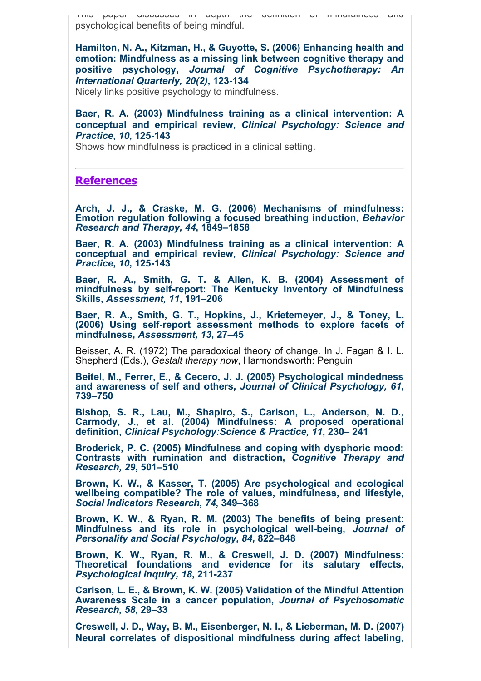This paper discusses in depth the definition of mindfulness and psychological benefits of being mindful.

**Hamilton, N. A., Kitzman, H., & Guyotte, S. (2006) Enhancing health and emotion: Mindfulness as a missing link between cognitive therapy and positive psychology,** *Journal of Cognitive Psychotherapy: An International Quarterly, 20(2)***, 123-134**

Nicely links positive psychology to mindfulness.

**Baer, R. A. (2003) Mindfulness training as a clinical intervention: A conceptual and empirical review,** *Clinical Psychology: Science and Practice***,** *10***, 125-143**

Shows how mindfulness is practiced in a clinical setting.

#### **References**

**Arch, J. J., & Craske, M. G. (2006) Mechanisms of mindfulness: Emotion regulation following a focused breathing induction,** *Behavior Research and Therapy, 44***, 1849–1858**

**Baer, R. A. (2003) Mindfulness training as a clinical intervention: A conceptual and empirical review,** *Clinical Psychology: Science and Practice***,** *10***, 125-143**

**Baer, R. A., Smith, G. T. & Allen, K. B. (2004) Assessment of mindfulness by self-report: The Kentucky Inventory of Mindfulness Skills,** *Assessment, 11***, 191–206**

**Baer, R. A., Smith, G. T., Hopkins, J., Krietemeyer, J., & Toney, L. (2006) Using self-report assessment methods to explore facets of mindfulness,** *Assessment, 13***, 27–45**

Beisser, A. R. (1972) The paradoxical theory of change. In J. Fagan & I. L. Shepherd (Eds.), *Gestalt therapy now*, Harmondsworth: Penguin

**Beitel, M., Ferrer, E., & Cecero, J. J. (2005) Psychological mindedness and awareness of self and others,** *Journal of Clinical Psychology, 61***, 739–750**

**Bishop, S. R., Lau, M., Shapiro, S., Carlson, L., Anderson, N. D., Carmody, J., et al. (2004) Mindfulness: A proposed operational definition,** *Clinical Psychology:Science & Practice, 11***, 230– 241**

**Broderick, P. C. (2005) Mindfulness and coping with dysphoric mood: Contrasts with rumination and distraction,** *Cognitive Therapy and Research, 29***, 501–510**

**Brown, K. W., & Kasser, T. (2005) Are psychological and ecological wellbeing compatible? The role of values, mindfulness, and lifestyle,** *Social Indicators Research, 74***, 349–368**

**Brown, K. W., & Ryan, R. M. (2003) The benefits of being present: Mindfulness and its role in psychological well-being,** *Journal of Personality and Social Psychology, 84,* **822–848**

**Brown, K. W., Ryan, R. M., & Creswell, J. D. (2007) Mindfulness: Theoretical foundations and evidence for its salutary effects,** *Psychological Inquiry, 18***, 211-237**

**Carlson, L. E., & Brown, K. W. (2005) Validation of the Mindful Attention Awareness Scale in a cancer population,** *Journal of Psychosomatic Research, 58***, 29–33**

**Creswell, J. D., Way, B. M., Eisenberger, N. I., & Lieberman, M. D. (2007) Neural correlates of dispositional mindfulness during affect labeling,**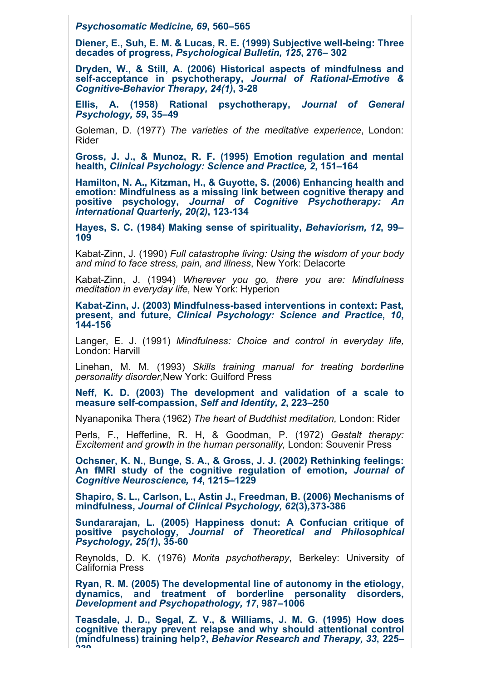*Psychosomatic Medicine, 69***, 560–565**

**Diener, E., Suh, E. M. & Lucas, R. E. (1999) Subjective well-being: Three decades of progress,** *Psychological Bulletin, 125***, 276– 302**

**Dryden, W., & Still, A. (2006) Historical aspects of mindfulness and self-acceptance in psychotherapy,** *Journal of Rational-Emotive & Cognitive-Behavior Therapy, 24(1)***, 3-28**

**Ellis, A. (1958) Rational psychotherapy,** *Journal of General Psychology, 59***, 35–49**

Goleman, D. (1977) *The varieties of the meditative experience*, London: Rider

**Gross, J. J., & Munoz, R. F. (1995) Emotion regulation and mental health,** *Clinical Psychology: Science and Practice, 2***, 151–164**

**Hamilton, N. A., Kitzman, H., & Guyotte, S. (2006) Enhancing health and emotion: Mindfulness as a missing link between cognitive therapy and positive psychology,** *Journal of Cognitive Psychotherapy: An International Quarterly, 20(2)***, 123-134**

**Hayes, S. C. (1984) Making sense of spirituality,** *Behaviorism, 12***, 99– 109**

Kabat-Zinn, J. (1990) *Full catastrophe living: Using the wisdom of your body and mind to face stress, pain, and illness*, New York: Delacorte

Kabat-Zinn, J. (1994) *Wherever you go, there you are: Mindfulness meditation in everyday life,* New York: Hyperion

**Kabat-Zinn, J. (2003) Mindfulness-based interventions in context: Past, present, and future,** *Clinical Psychology: Science and Practice***,** *10***, 144-156**

Langer, E. J. (1991) *Mindfulness: Choice and control in everyday life,* London: Harvill

Linehan, M. M. (1993) *Skills training manual for treating borderline personality disorder,*New York: Guilford Press

**Neff, K. D. (2003) The development and validation of a scale to measure self-compassion,** *Self and Identity, 2***, 223–250**

Nyanaponika Thera (1962) *The heart of Buddhist meditation,* London: Rider

Perls, F., Hefferline, R. H, & Goodman, P. (1972) *Gestalt therapy: Excitement and growth in the human personality,* London: Souvenir Press

**Ochsner, K. N., Bunge, S. A., & Gross, J. J. (2002) Rethinking feelings: An fMRI study of the cognitive regulation of emotion,** *Journal of Cognitive Neuroscience, 14***, 1215–1229**

**Shapiro, S. L., Carlson, L., Astin J., Freedman, B. (2006) Mechanisms of mindfulness,** *Journal of Clinical Psychology, 62***(3)***,***373-386**

**Sundararajan, L. (2005) Happiness donut: A Confucian critique of positive psychology,** *Journal of Theoretical and Philosophical Psychology, 25(1)***, 35-60**

Reynolds, D. K. (1976) *Morita psychotherapy*, Berkeley: University of California Press

**Ryan, R. M. (2005) The developmental line of autonomy in the etiology, dynamics, and treatment of borderline personality disorders,** *Development and Psychopathology, 17***, 987–1006**

**Teasdale, J. D., Segal, Z. V., & Williams, J. M. G. (1995) How does cognitive therapy prevent relapse and why should attentional control (mindfulness) training help?,** *Behavior Research and Therapy, 33***, 225– 239**